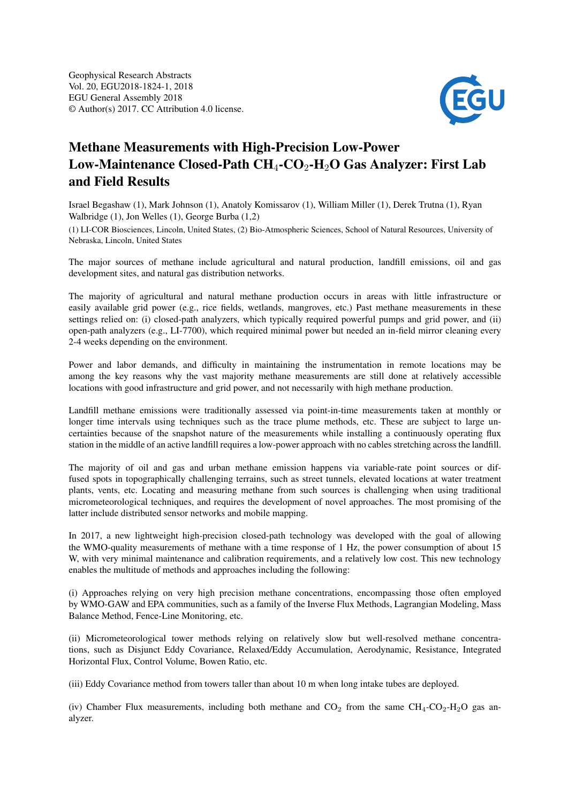

## Methane Measurements with High-Precision Low-Power Low-Maintenance Closed-Path  $CH_4$ -CO<sub>2</sub>-H<sub>2</sub>O Gas Analyzer: First Lab and Field Results

Israel Begashaw (1), Mark Johnson (1), Anatoly Komissarov (1), William Miller (1), Derek Trutna (1), Ryan Walbridge (1), Jon Welles (1), George Burba (1,2)

(1) LI-COR Biosciences, Lincoln, United States, (2) Bio-Atmospheric Sciences, School of Natural Resources, University of Nebraska, Lincoln, United States

The major sources of methane include agricultural and natural production, landfill emissions, oil and gas development sites, and natural gas distribution networks.

The majority of agricultural and natural methane production occurs in areas with little infrastructure or easily available grid power (e.g., rice fields, wetlands, mangroves, etc.) Past methane measurements in these settings relied on: (i) closed-path analyzers, which typically required powerful pumps and grid power, and (ii) open-path analyzers (e.g., LI-7700), which required minimal power but needed an in-field mirror cleaning every 2-4 weeks depending on the environment.

Power and labor demands, and difficulty in maintaining the instrumentation in remote locations may be among the key reasons why the vast majority methane measurements are still done at relatively accessible locations with good infrastructure and grid power, and not necessarily with high methane production.

Landfill methane emissions were traditionally assessed via point-in-time measurements taken at monthly or longer time intervals using techniques such as the trace plume methods, etc. These are subject to large uncertainties because of the snapshot nature of the measurements while installing a continuously operating flux station in the middle of an active landfill requires a low-power approach with no cables stretching across the landfill.

The majority of oil and gas and urban methane emission happens via variable-rate point sources or diffused spots in topographically challenging terrains, such as street tunnels, elevated locations at water treatment plants, vents, etc. Locating and measuring methane from such sources is challenging when using traditional micrometeorological techniques, and requires the development of novel approaches. The most promising of the latter include distributed sensor networks and mobile mapping.

In 2017, a new lightweight high-precision closed-path technology was developed with the goal of allowing the WMO-quality measurements of methane with a time response of 1 Hz, the power consumption of about 15 W, with very minimal maintenance and calibration requirements, and a relatively low cost. This new technology enables the multitude of methods and approaches including the following:

(i) Approaches relying on very high precision methane concentrations, encompassing those often employed by WMO-GAW and EPA communities, such as a family of the Inverse Flux Methods, Lagrangian Modeling, Mass Balance Method, Fence-Line Monitoring, etc.

(ii) Micrometeorological tower methods relying on relatively slow but well-resolved methane concentrations, such as Disjunct Eddy Covariance, Relaxed/Eddy Accumulation, Aerodynamic, Resistance, Integrated Horizontal Flux, Control Volume, Bowen Ratio, etc.

(iii) Eddy Covariance method from towers taller than about 10 m when long intake tubes are deployed.

(iv) Chamber Flux measurements, including both methane and  $CO_2$  from the same  $CH_4$ - $CO_2$ - $H_2O$  gas analyzer.